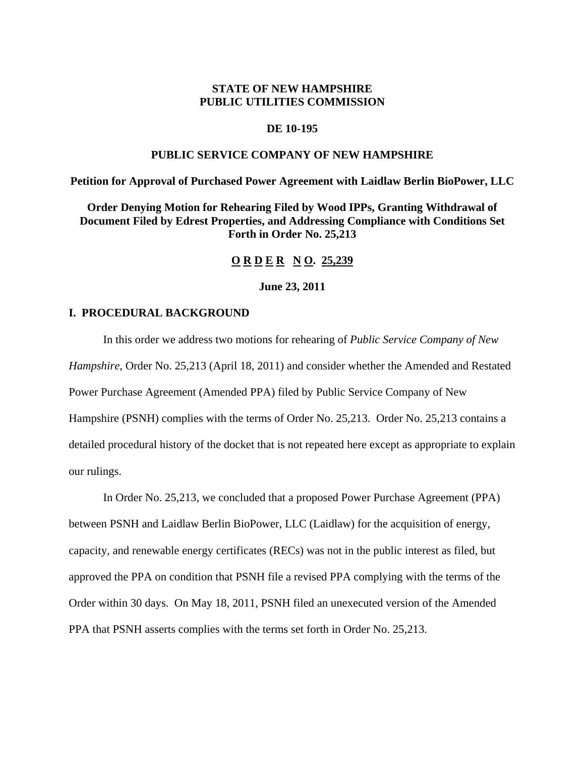# **STATE OF NEW HAMPSHIRE PUBLIC UTILITIES COMMISSION**

## **DE 10-195**

## **PUBLIC SERVICE COMPANY OF NEW HAMPSHIRE**

## **Petition for Approval of Purchased Power Agreement with Laidlaw Berlin BioPower, LLC**

**Order Denying Motion for Rehearing Filed by Wood IPPs, Granting Withdrawal of Document Filed by Edrest Properties, and Addressing Compliance with Conditions Set Forth in Order No. 25,213**

## **O R D E R N O. 25,239**

### **June 23, 2011**

### **I. PROCEDURAL BACKGROUND**

In this order we address two motions for rehearing of *Public Service Company of New Hampshire*, Order No. 25,213 (April 18, 2011) and consider whether the Amended and Restated Power Purchase Agreement (Amended PPA) filed by Public Service Company of New Hampshire (PSNH) complies with the terms of Order No. 25,213. Order No. 25,213 contains a detailed procedural history of the docket that is not repeated here except as appropriate to explain our rulings.

In Order No. 25,213, we concluded that a proposed Power Purchase Agreement (PPA) between PSNH and Laidlaw Berlin BioPower, LLC (Laidlaw) for the acquisition of energy, capacity, and renewable energy certificates (RECs) was not in the public interest as filed, but approved the PPA on condition that PSNH file a revised PPA complying with the terms of the Order within 30 days. On May 18, 2011, PSNH filed an unexecuted version of the Amended PPA that PSNH asserts complies with the terms set forth in Order No. 25,213.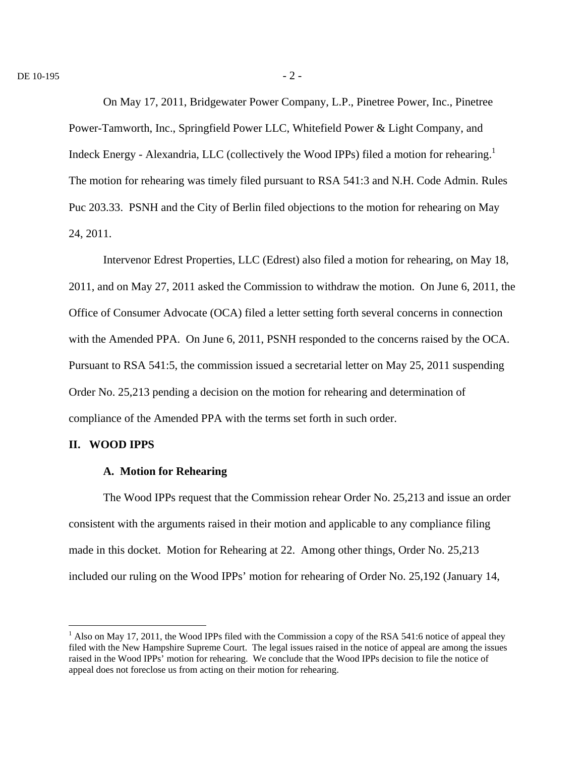On May 17, 2011, Bridgewater Power Company, L.P., Pinetree Power, Inc., Pinetree Power-Tamworth, Inc., Springfield Power LLC, Whitefield Power & Light Company, and Indeck Energy - Alexandria, LLC (collectively the Wood IPPs) filed a motion for rehearing.<sup>1</sup> The motion for rehearing was timely filed pursuant to RSA 541:3 and N.H. Code Admin. Rules Puc 203.33. PSNH and the City of Berlin filed objections to the motion for rehearing on May 24, 2011.

Intervenor Edrest Properties, LLC (Edrest) also filed a motion for rehearing, on May 18, 2011, and on May 27, 2011 asked the Commission to withdraw the motion. On June 6, 2011, the Office of Consumer Advocate (OCA) filed a letter setting forth several concerns in connection with the Amended PPA. On June 6, 2011, PSNH responded to the concerns raised by the OCA. Pursuant to RSA 541:5, the commission issued a secretarial letter on May 25, 2011 suspending Order No. 25,213 pending a decision on the motion for rehearing and determination of compliance of the Amended PPA with the terms set forth in such order.

### **II. WOOD IPPS**

1

#### **A. Motion for Rehearing**

The Wood IPPs request that the Commission rehear Order No. 25,213 and issue an order consistent with the arguments raised in their motion and applicable to any compliance filing made in this docket. Motion for Rehearing at 22. Among other things, Order No. 25,213 included our ruling on the Wood IPPs' motion for rehearing of Order No. 25,192 (January 14,

 $<sup>1</sup>$  Also on May 17, 2011, the Wood IPPs filed with the Commission a copy of the RSA 541:6 notice of appeal they</sup> filed with the New Hampshire Supreme Court. The legal issues raised in the notice of appeal are among the issues raised in the Wood IPPs' motion for rehearing. We conclude that the Wood IPPs decision to file the notice of appeal does not foreclose us from acting on their motion for rehearing.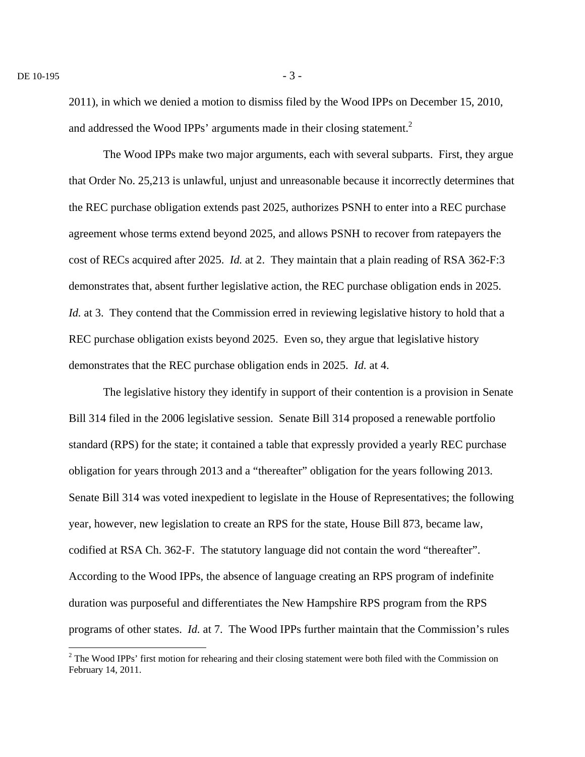$\overline{a}$ 

2011), in which we denied a motion to dismiss filed by the Wood IPPs on December 15, 2010, and addressed the Wood IPPs' arguments made in their closing statement. $2$ 

The Wood IPPs make two major arguments, each with several subparts. First, they argue that Order No. 25,213 is unlawful, unjust and unreasonable because it incorrectly determines that the REC purchase obligation extends past 2025, authorizes PSNH to enter into a REC purchase agreement whose terms extend beyond 2025, and allows PSNH to recover from ratepayers the cost of RECs acquired after 2025. *Id.* at 2. They maintain that a plain reading of RSA 362-F:3 demonstrates that, absent further legislative action, the REC purchase obligation ends in 2025. *Id.* at 3. They contend that the Commission erred in reviewing legislative history to hold that a REC purchase obligation exists beyond 2025. Even so, they argue that legislative history demonstrates that the REC purchase obligation ends in 2025. *Id.* at 4.

The legislative history they identify in support of their contention is a provision in Senate Bill 314 filed in the 2006 legislative session. Senate Bill 314 proposed a renewable portfolio standard (RPS) for the state; it contained a table that expressly provided a yearly REC purchase obligation for years through 2013 and a "thereafter" obligation for the years following 2013. Senate Bill 314 was voted inexpedient to legislate in the House of Representatives; the following year, however, new legislation to create an RPS for the state, House Bill 873, became law, codified at RSA Ch. 362-F. The statutory language did not contain the word "thereafter". According to the Wood IPPs, the absence of language creating an RPS program of indefinite duration was purposeful and differentiates the New Hampshire RPS program from the RPS programs of other states. *Id.* at 7. The Wood IPPs further maintain that the Commission's rules

 $2^2$  The Wood IPPs' first motion for rehearing and their closing statement were both filed with the Commission on February 14, 2011.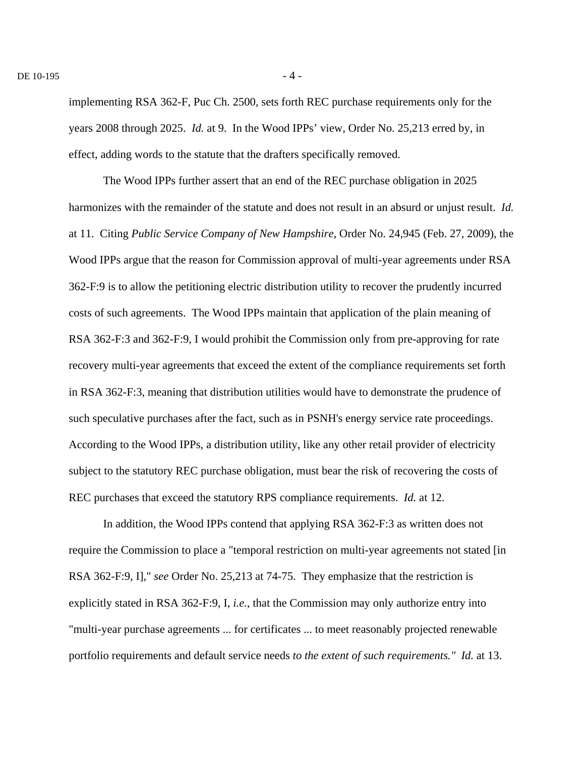implementing RSA 362-F, Puc Ch. 2500, sets forth REC purchase requirements only for the years 2008 through 2025. *Id.* at 9. In the Wood IPPs' view, Order No. 25,213 erred by, in effect, adding words to the statute that the drafters specifically removed.

The Wood IPPs further assert that an end of the REC purchase obligation in 2025 harmonizes with the remainder of the statute and does not result in an absurd or unjust result. *Id.* at 11. Citing *Public Service Company of New Hampshire*, Order No. 24,945 (Feb. 27, 2009), the Wood IPPs argue that the reason for Commission approval of multi-year agreements under RSA 362-F:9 is to allow the petitioning electric distribution utility to recover the prudently incurred costs of such agreements. The Wood IPPs maintain that application of the plain meaning of RSA 362-F:3 and 362-F:9, I would prohibit the Commission only from pre-approving for rate recovery multi-year agreements that exceed the extent of the compliance requirements set forth in RSA 362-F:3, meaning that distribution utilities would have to demonstrate the prudence of such speculative purchases after the fact, such as in PSNH's energy service rate proceedings. According to the Wood IPPs, a distribution utility, like any other retail provider of electricity subject to the statutory REC purchase obligation, must bear the risk of recovering the costs of REC purchases that exceed the statutory RPS compliance requirements. *Id.* at 12.

In addition, the Wood IPPs contend that applying RSA 362-F:3 as written does not require the Commission to place a "temporal restriction on multi-year agreements not stated [in RSA 362-F:9, I]," *see* Order No. 25,213 at 74-75. They emphasize that the restriction is explicitly stated in RSA 362-F:9, I, *i.e.*, that the Commission may only authorize entry into "multi-year purchase agreements ... for certificates ... to meet reasonably projected renewable portfolio requirements and default service needs *to the extent of such requirements." Id.* at 13.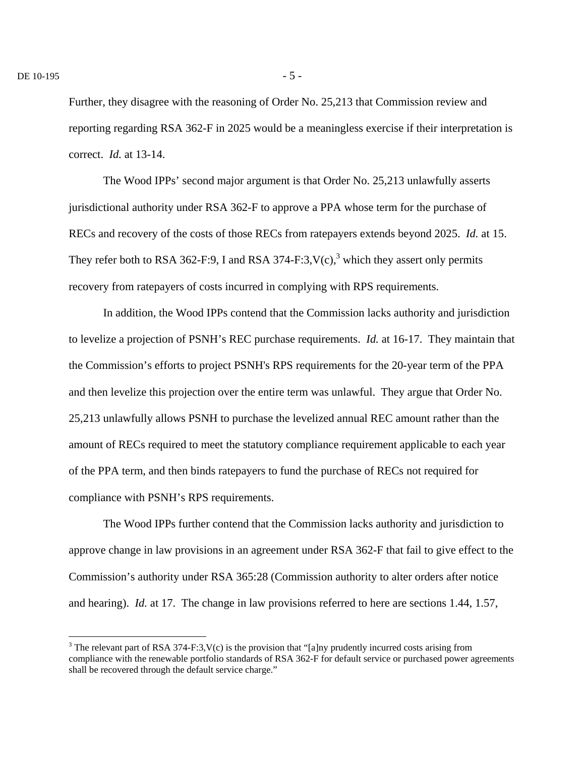$\overline{a}$ 

Further, they disagree with the reasoning of Order No. 25,213 that Commission review and reporting regarding RSA 362-F in 2025 would be a meaningless exercise if their interpretation is correct. *Id.* at 13-14.

The Wood IPPs' second major argument is that Order No. 25,213 unlawfully asserts jurisdictional authority under RSA 362-F to approve a PPA whose term for the purchase of RECs and recovery of the costs of those RECs from ratepayers extends beyond 2025. *Id.* at 15. They refer both to RSA 362-F:9, I and RSA 374-F:3,  $V(c)$ , which they assert only permits recovery from ratepayers of costs incurred in complying with RPS requirements.

In addition, the Wood IPPs contend that the Commission lacks authority and jurisdiction to levelize a projection of PSNH's REC purchase requirements. *Id.* at 16-17. They maintain that the Commission's efforts to project PSNH's RPS requirements for the 20-year term of the PPA and then levelize this projection over the entire term was unlawful. They argue that Order No. 25,213 unlawfully allows PSNH to purchase the levelized annual REC amount rather than the amount of RECs required to meet the statutory compliance requirement applicable to each year of the PPA term, and then binds ratepayers to fund the purchase of RECs not required for compliance with PSNH's RPS requirements.

The Wood IPPs further contend that the Commission lacks authority and jurisdiction to approve change in law provisions in an agreement under RSA 362-F that fail to give effect to the Commission's authority under RSA 365:28 (Commission authority to alter orders after notice and hearing). *Id.* at 17. The change in law provisions referred to here are sections 1.44, 1.57,

<sup>&</sup>lt;sup>3</sup> The relevant part of RSA 374-F:3,  $V(c)$  is the provision that "[a]ny prudently incurred costs arising from compliance with the renewable portfolio standards of RSA 362-F for default service or purchased power agreements shall be recovered through the default service charge."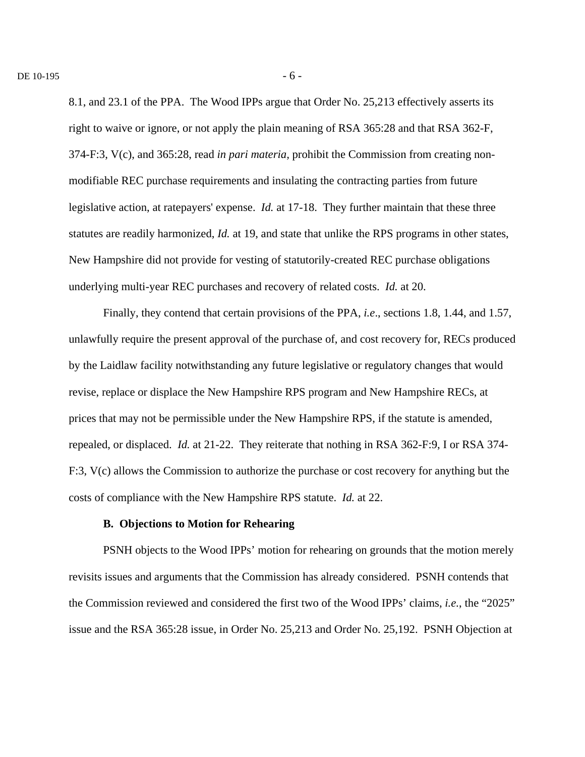8.1, and 23.1 of the PPA. The Wood IPPs argue that Order No. 25,213 effectively asserts its right to waive or ignore, or not apply the plain meaning of RSA 365:28 and that RSA 362-F, 374-F:3, V(c), and 365:28, read *in pari materia,* prohibit the Commission from creating nonmodifiable REC purchase requirements and insulating the contracting parties from future legislative action, at ratepayers' expense. *Id.* at 17-18. They further maintain that these three statutes are readily harmonized, *Id.* at 19, and state that unlike the RPS programs in other states, New Hampshire did not provide for vesting of statutorily-created REC purchase obligations underlying multi-year REC purchases and recovery of related costs. *Id.* at 20.

Finally, they contend that certain provisions of the PPA, *i.e*., sections 1.8, 1.44, and 1.57, unlawfully require the present approval of the purchase of, and cost recovery for, RECs produced by the Laidlaw facility notwithstanding any future legislative or regulatory changes that would revise, replace or displace the New Hampshire RPS program and New Hampshire RECs, at prices that may not be permissible under the New Hampshire RPS, if the statute is amended, repealed, or displaced. *Id.* at 21-22. They reiterate that nothing in RSA 362-F:9, I or RSA 374- F:3, V(c) allows the Commission to authorize the purchase or cost recovery for anything but the costs of compliance with the New Hampshire RPS statute. *Id.* at 22.

## **B. Objections to Motion for Rehearing**

PSNH objects to the Wood IPPs' motion for rehearing on grounds that the motion merely revisits issues and arguments that the Commission has already considered. PSNH contends that the Commission reviewed and considered the first two of the Wood IPPs' claims, *i.e.*, the "2025" issue and the RSA 365:28 issue, in Order No. 25,213 and Order No. 25,192. PSNH Objection at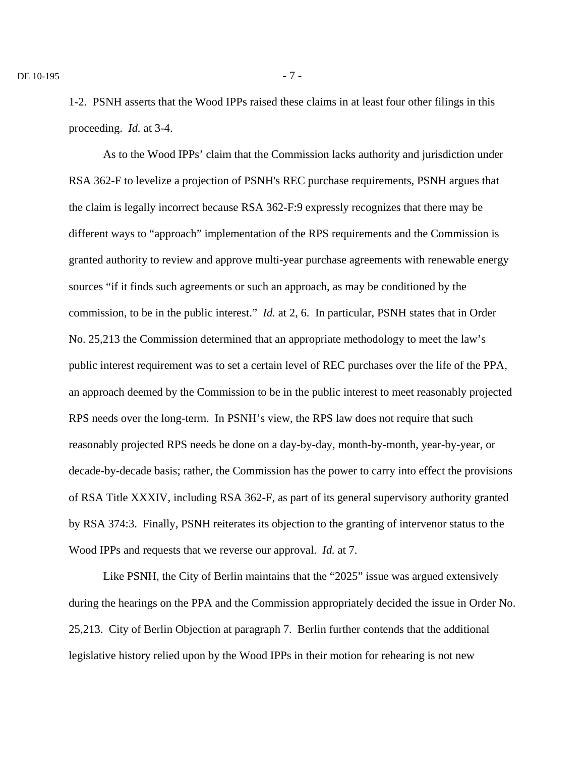1-2. PSNH asserts that the Wood IPPs raised these claims in at least four other filings in this proceeding. *Id.* at 3-4.

As to the Wood IPPs' claim that the Commission lacks authority and jurisdiction under RSA 362-F to levelize a projection of PSNH's REC purchase requirements, PSNH argues that the claim is legally incorrect because RSA 362-F:9 expressly recognizes that there may be different ways to "approach" implementation of the RPS requirements and the Commission is granted authority to review and approve multi-year purchase agreements with renewable energy sources "if it finds such agreements or such an approach, as may be conditioned by the commission, to be in the public interest." *Id.* at 2, 6. In particular, PSNH states that in Order No. 25,213 the Commission determined that an appropriate methodology to meet the law's public interest requirement was to set a certain level of REC purchases over the life of the PPA, an approach deemed by the Commission to be in the public interest to meet reasonably projected RPS needs over the long-term. In PSNH's view, the RPS law does not require that such reasonably projected RPS needs be done on a day-by-day, month-by-month, year-by-year, or decade-by-decade basis; rather, the Commission has the power to carry into effect the provisions of RSA Title XXXIV, including RSA 362-F, as part of its general supervisory authority granted by RSA 374:3. Finally, PSNH reiterates its objection to the granting of intervenor status to the Wood IPPs and requests that we reverse our approval. *Id.* at 7.

Like PSNH, the City of Berlin maintains that the "2025" issue was argued extensively during the hearings on the PPA and the Commission appropriately decided the issue in Order No. 25,213. City of Berlin Objection at paragraph 7. Berlin further contends that the additional legislative history relied upon by the Wood IPPs in their motion for rehearing is not new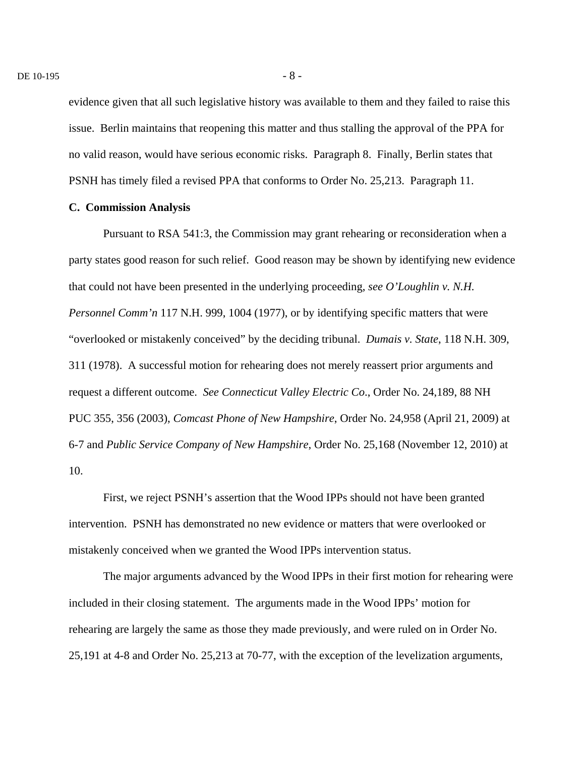evidence given that all such legislative history was available to them and they failed to raise this issue. Berlin maintains that reopening this matter and thus stalling the approval of the PPA for no valid reason, would have serious economic risks. Paragraph 8. Finally, Berlin states that PSNH has timely filed a revised PPA that conforms to Order No. 25,213. Paragraph 11.

### **C. Commission Analysis**

Pursuant to RSA 541:3, the Commission may grant rehearing or reconsideration when a party states good reason for such relief. Good reason may be shown by identifying new evidence that could not have been presented in the underlying proceeding, *see O'Loughlin v. N.H. Personnel Comm'n* 117 N.H. 999, 1004 (1977), or by identifying specific matters that were "overlooked or mistakenly conceived" by the deciding tribunal. *Dumais v. State*, 118 N.H. 309, 311 (1978). A successful motion for rehearing does not merely reassert prior arguments and request a different outcome. *See Connecticut Valley Electric Co*., Order No. 24,189, 88 NH PUC 355, 356 (2003), *Comcast Phone of New Hampshire*, Order No. 24,958 (April 21, 2009) at 6-7 and *Public Service Company of New Hampshire*, Order No. 25,168 (November 12, 2010) at 10.

First, we reject PSNH's assertion that the Wood IPPs should not have been granted intervention. PSNH has demonstrated no new evidence or matters that were overlooked or mistakenly conceived when we granted the Wood IPPs intervention status.

The major arguments advanced by the Wood IPPs in their first motion for rehearing were included in their closing statement. The arguments made in the Wood IPPs' motion for rehearing are largely the same as those they made previously, and were ruled on in Order No. 25,191 at 4-8 and Order No. 25,213 at 70-77, with the exception of the levelization arguments,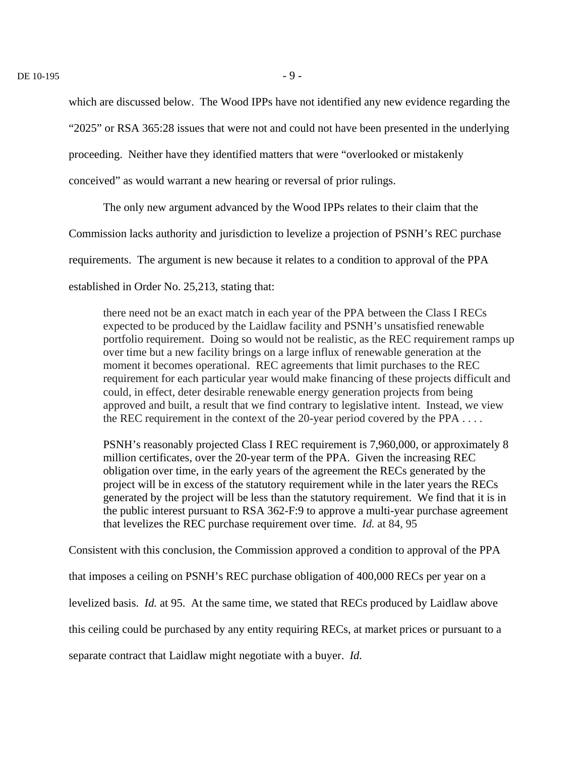which are discussed below. The Wood IPPs have not identified any new evidence regarding the

"2025" or RSA 365:28 issues that were not and could not have been presented in the underlying

proceeding. Neither have they identified matters that were "overlooked or mistakenly

conceived" as would warrant a new hearing or reversal of prior rulings.

The only new argument advanced by the Wood IPPs relates to their claim that the

Commission lacks authority and jurisdiction to levelize a projection of PSNH's REC purchase

requirements. The argument is new because it relates to a condition to approval of the PPA

established in Order No. 25,213, stating that:

there need not be an exact match in each year of the PPA between the Class I RECs expected to be produced by the Laidlaw facility and PSNH's unsatisfied renewable portfolio requirement. Doing so would not be realistic, as the REC requirement ramps up over time but a new facility brings on a large influx of renewable generation at the moment it becomes operational. REC agreements that limit purchases to the REC requirement for each particular year would make financing of these projects difficult and could, in effect, deter desirable renewable energy generation projects from being approved and built, a result that we find contrary to legislative intent. Instead, we view the REC requirement in the context of the 20-year period covered by the PPA . . . .

PSNH's reasonably projected Class I REC requirement is 7,960,000, or approximately 8 million certificates, over the 20-year term of the PPA. Given the increasing REC obligation over time, in the early years of the agreement the RECs generated by the project will be in excess of the statutory requirement while in the later years the RECs generated by the project will be less than the statutory requirement. We find that it is in the public interest pursuant to RSA 362-F:9 to approve a multi-year purchase agreement that levelizes the REC purchase requirement over time. *Id.* at 84, 95

Consistent with this conclusion, the Commission approved a condition to approval of the PPA that imposes a ceiling on PSNH's REC purchase obligation of 400,000 RECs per year on a levelized basis. *Id.* at 95. At the same time, we stated that RECs produced by Laidlaw above this ceiling could be purchased by any entity requiring RECs, at market prices or pursuant to a separate contract that Laidlaw might negotiate with a buyer. *Id.*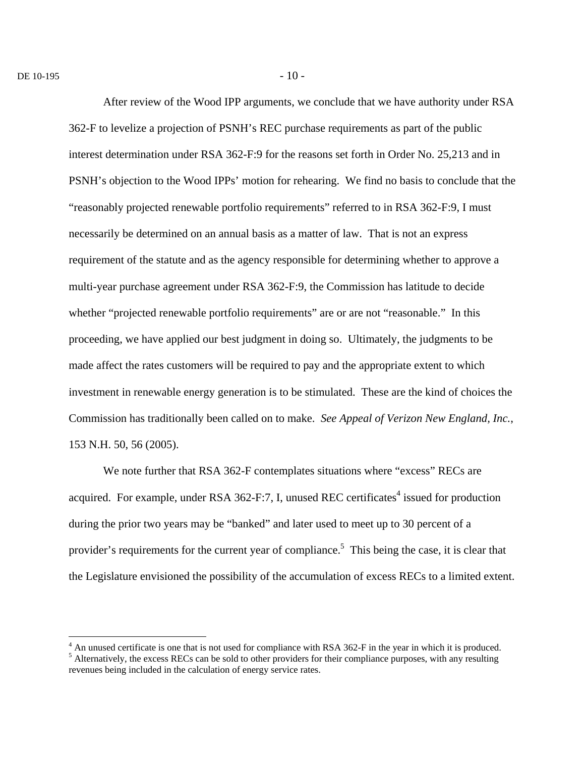$\overline{a}$ 

After review of the Wood IPP arguments, we conclude that we have authority under RSA 362-F to levelize a projection of PSNH's REC purchase requirements as part of the public interest determination under RSA 362-F:9 for the reasons set forth in Order No. 25,213 and in PSNH's objection to the Wood IPPs' motion for rehearing. We find no basis to conclude that the "reasonably projected renewable portfolio requirements" referred to in RSA 362-F:9, I must necessarily be determined on an annual basis as a matter of law. That is not an express requirement of the statute and as the agency responsible for determining whether to approve a multi-year purchase agreement under RSA 362-F:9, the Commission has latitude to decide whether "projected renewable portfolio requirements" are or are not "reasonable." In this proceeding, we have applied our best judgment in doing so. Ultimately, the judgments to be made affect the rates customers will be required to pay and the appropriate extent to which investment in renewable energy generation is to be stimulated. These are the kind of choices the Commission has traditionally been called on to make. *See Appeal of Verizon New England, Inc.*, 153 N.H. 50, 56 (2005).

We note further that RSA 362-F contemplates situations where "excess" RECs are acquired. For example, under RSA 362-F:7, I, unused REC certificates<sup>4</sup> issued for production during the prior two years may be "banked" and later used to meet up to 30 percent of a provider's requirements for the current year of compliance.<sup>5</sup> This being the case, it is clear that the Legislature envisioned the possibility of the accumulation of excess RECs to a limited extent.

<sup>&</sup>lt;sup>4</sup> An unused certificate is one that is not used for compliance with RSA 362-F in the year in which it is produced. <sup>5</sup> Alternatively, the excess RECs can be sold to other providers for their compliance purposes, with any resulting revenues being included in the calculation of energy service rates.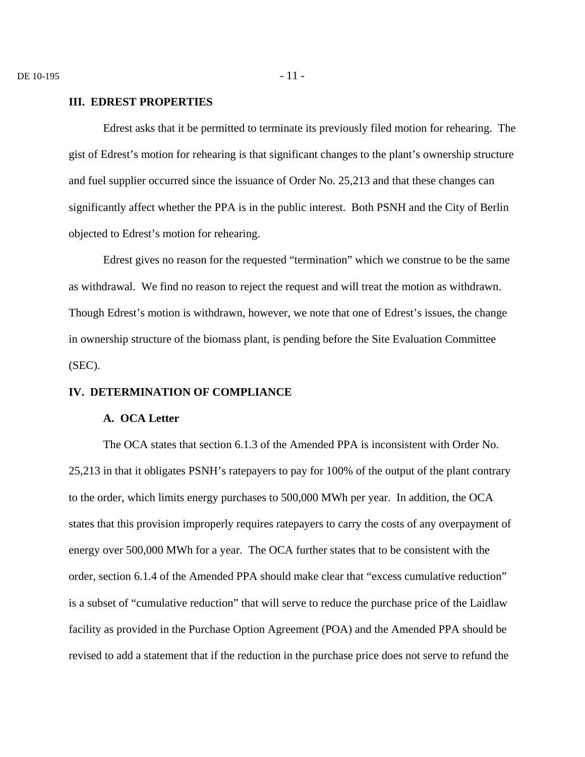### **III. EDREST PROPERTIES**

Edrest asks that it be permitted to terminate its previously filed motion for rehearing. The gist of Edrest's motion for rehearing is that significant changes to the plant's ownership structure and fuel supplier occurred since the issuance of Order No. 25,213 and that these changes can significantly affect whether the PPA is in the public interest. Both PSNH and the City of Berlin objected to Edrest's motion for rehearing.

Edrest gives no reason for the requested "termination" which we construe to be the same as withdrawal. We find no reason to reject the request and will treat the motion as withdrawn. Though Edrest's motion is withdrawn, however, we note that one of Edrest's issues, the change in ownership structure of the biomass plant, is pending before the Site Evaluation Committee (SEC).

### **IV. DETERMINATION OF COMPLIANCE**

#### **A. OCA Letter**

The OCA states that section 6.1.3 of the Amended PPA is inconsistent with Order No. 25,213 in that it obligates PSNH's ratepayers to pay for 100% of the output of the plant contrary to the order, which limits energy purchases to 500,000 MWh per year. In addition, the OCA states that this provision improperly requires ratepayers to carry the costs of any overpayment of energy over 500,000 MWh for a year. The OCA further states that to be consistent with the order, section 6.1.4 of the Amended PPA should make clear that "excess cumulative reduction" is a subset of "cumulative reduction" that will serve to reduce the purchase price of the Laidlaw facility as provided in the Purchase Option Agreement (POA) and the Amended PPA should be revised to add a statement that if the reduction in the purchase price does not serve to refund the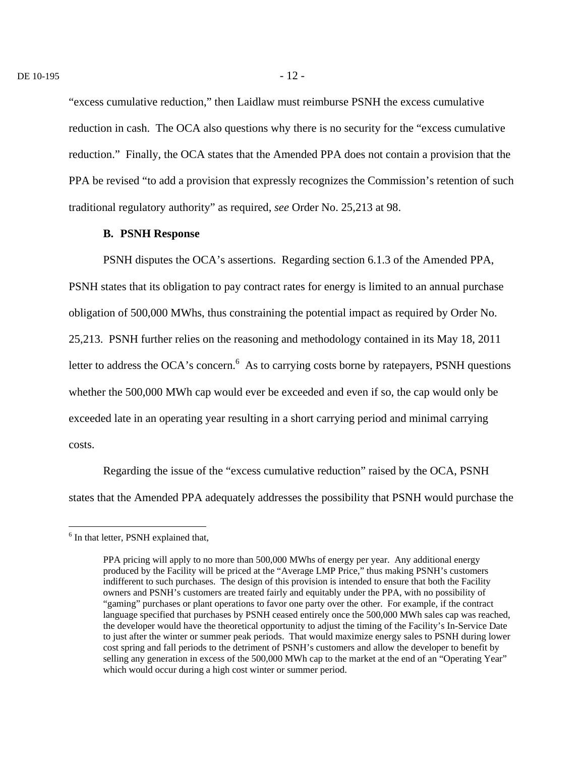"excess cumulative reduction," then Laidlaw must reimburse PSNH the excess cumulative reduction in cash. The OCA also questions why there is no security for the "excess cumulative reduction." Finally, the OCA states that the Amended PPA does not contain a provision that the PPA be revised "to add a provision that expressly recognizes the Commission's retention of such traditional regulatory authority" as required, *see* Order No. 25,213 at 98.

### **B. PSNH Response**

PSNH disputes the OCA's assertions. Regarding section 6.1.3 of the Amended PPA, PSNH states that its obligation to pay contract rates for energy is limited to an annual purchase obligation of 500,000 MWhs, thus constraining the potential impact as required by Order No. 25,213. PSNH further relies on the reasoning and methodology contained in its May 18, 2011 letter to address the OCA's concern.  $6$  As to carrying costs borne by ratepayers, PSNH questions whether the 500,000 MWh cap would ever be exceeded and even if so, the cap would only be exceeded late in an operating year resulting in a short carrying period and minimal carrying costs.

Regarding the issue of the "excess cumulative reduction" raised by the OCA, PSNH states that the Amended PPA adequately addresses the possibility that PSNH would purchase the

 $\overline{a}$ 

<sup>&</sup>lt;sup>6</sup> In that letter, PSNH explained that,

PPA pricing will apply to no more than 500,000 MWhs of energy per year. Any additional energy produced by the Facility will be priced at the "Average LMP Price," thus making PSNH's customers indifferent to such purchases. The design of this provision is intended to ensure that both the Facility owners and PSNH's customers are treated fairly and equitably under the PPA, with no possibility of "gaming" purchases or plant operations to favor one party over the other. For example, if the contract language specified that purchases by PSNH ceased entirely once the 500,000 MWh sales cap was reached, the developer would have the theoretical opportunity to adjust the timing of the Facility's In-Service Date to just after the winter or summer peak periods. That would maximize energy sales to PSNH during lower cost spring and fall periods to the detriment of PSNH's customers and allow the developer to benefit by selling any generation in excess of the 500,000 MWh cap to the market at the end of an "Operating Year" which would occur during a high cost winter or summer period.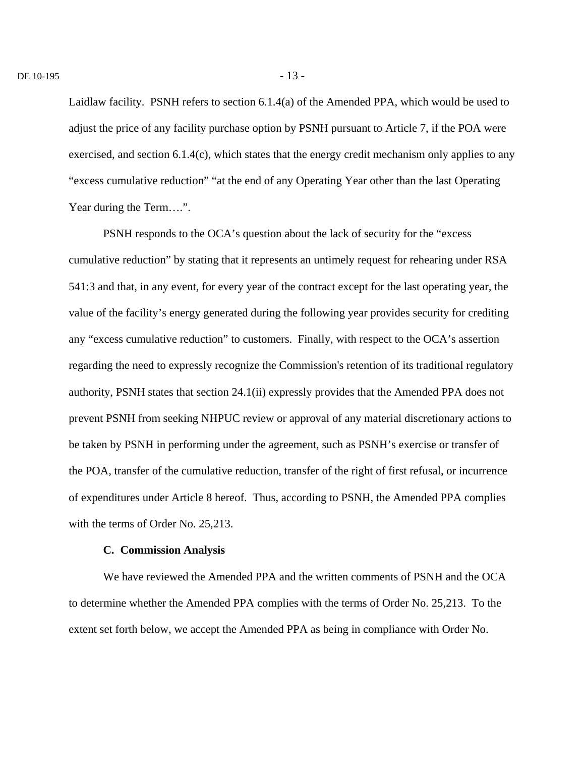Laidlaw facility. PSNH refers to section 6.1.4(a) of the Amended PPA, which would be used to adjust the price of any facility purchase option by PSNH pursuant to Article 7, if the POA were exercised, and section 6.1.4(c), which states that the energy credit mechanism only applies to any "excess cumulative reduction" "at the end of any Operating Year other than the last Operating Year during the Term….".

PSNH responds to the OCA's question about the lack of security for the "excess cumulative reduction" by stating that it represents an untimely request for rehearing under RSA 541:3 and that, in any event, for every year of the contract except for the last operating year, the value of the facility's energy generated during the following year provides security for crediting any "excess cumulative reduction" to customers. Finally, with respect to the OCA's assertion regarding the need to expressly recognize the Commission's retention of its traditional regulatory authority, PSNH states that section 24.1(ii) expressly provides that the Amended PPA does not prevent PSNH from seeking NHPUC review or approval of any material discretionary actions to be taken by PSNH in performing under the agreement, such as PSNH's exercise or transfer of the POA, transfer of the cumulative reduction, transfer of the right of first refusal, or incurrence of expenditures under Article 8 hereof. Thus, according to PSNH, the Amended PPA complies with the terms of Order No. 25,213.

### **C. Commission Analysis**

We have reviewed the Amended PPA and the written comments of PSNH and the OCA to determine whether the Amended PPA complies with the terms of Order No. 25,213. To the extent set forth below, we accept the Amended PPA as being in compliance with Order No.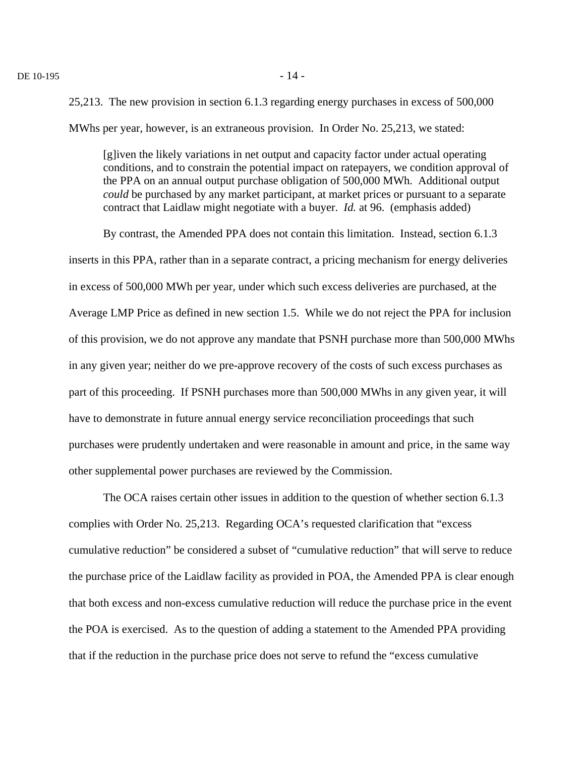25,213. The new provision in section 6.1.3 regarding energy purchases in excess of 500,000 MWhs per year, however, is an extraneous provision. In Order No. 25,213, we stated:

[g]iven the likely variations in net output and capacity factor under actual operating conditions, and to constrain the potential impact on ratepayers, we condition approval of the PPA on an annual output purchase obligation of 500,000 MWh. Additional output *could* be purchased by any market participant, at market prices or pursuant to a separate contract that Laidlaw might negotiate with a buyer. *Id.* at 96. (emphasis added)

By contrast, the Amended PPA does not contain this limitation. Instead, section 6.1.3 inserts in this PPA, rather than in a separate contract, a pricing mechanism for energy deliveries in excess of 500,000 MWh per year, under which such excess deliveries are purchased, at the Average LMP Price as defined in new section 1.5. While we do not reject the PPA for inclusion of this provision, we do not approve any mandate that PSNH purchase more than 500,000 MWhs in any given year; neither do we pre-approve recovery of the costs of such excess purchases as part of this proceeding. If PSNH purchases more than 500,000 MWhs in any given year, it will have to demonstrate in future annual energy service reconciliation proceedings that such purchases were prudently undertaken and were reasonable in amount and price, in the same way other supplemental power purchases are reviewed by the Commission.

The OCA raises certain other issues in addition to the question of whether section 6.1.3 complies with Order No. 25,213. Regarding OCA's requested clarification that "excess cumulative reduction" be considered a subset of "cumulative reduction" that will serve to reduce the purchase price of the Laidlaw facility as provided in POA, the Amended PPA is clear enough that both excess and non-excess cumulative reduction will reduce the purchase price in the event the POA is exercised. As to the question of adding a statement to the Amended PPA providing that if the reduction in the purchase price does not serve to refund the "excess cumulative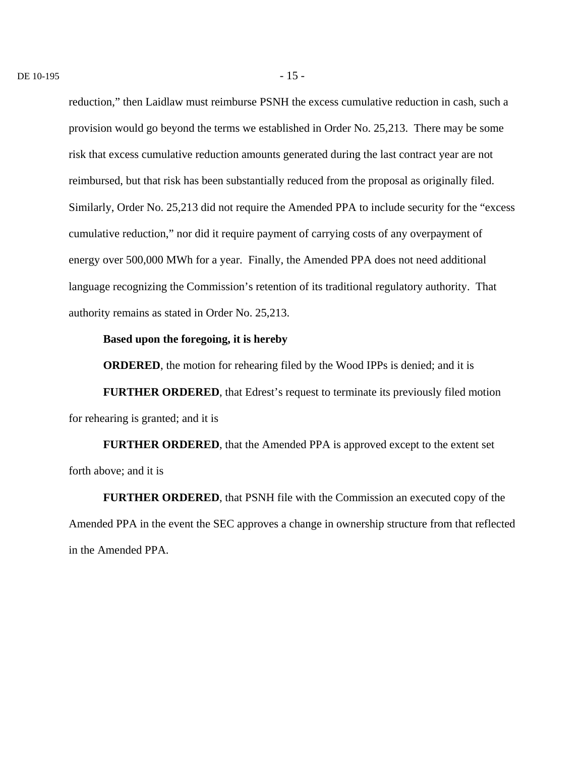reduction," then Laidlaw must reimburse PSNH the excess cumulative reduction in cash, such a provision would go beyond the terms we established in Order No. 25,213. There may be some risk that excess cumulative reduction amounts generated during the last contract year are not reimbursed, but that risk has been substantially reduced from the proposal as originally filed. Similarly, Order No. 25,213 did not require the Amended PPA to include security for the "excess cumulative reduction," nor did it require payment of carrying costs of any overpayment of energy over 500,000 MWh for a year. Finally, the Amended PPA does not need additional language recognizing the Commission's retention of its traditional regulatory authority. That authority remains as stated in Order No. 25,213.

### **Based upon the foregoing, it is hereby**

**ORDERED**, the motion for rehearing filed by the Wood IPPs is denied; and it is

**FURTHER ORDERED**, that Edrest's request to terminate its previously filed motion for rehearing is granted; and it is

**FURTHER ORDERED**, that the Amended PPA is approved except to the extent set forth above; and it is

**FURTHER ORDERED**, that PSNH file with the Commission an executed copy of the Amended PPA in the event the SEC approves a change in ownership structure from that reflected in the Amended PPA.